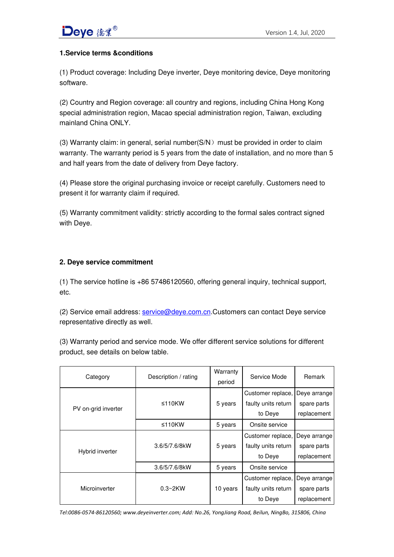## **1.Service terms &conditions**

(1) Product coverage: Including Deye inverter, Deye monitoring device, Deye monitoring software.

(2) Country and Region coverage: all country and regions, including China Hong Kong special administration region, Macao special administration region, Taiwan, excluding mainland China ONLY.

(3) Warranty claim: in general, serial number( $SN$ ) must be provided in order to claim warranty. The warranty period is 5 years from the date of installation, and no more than 5 and half years from the date of delivery from Deye factory.

(4) Please store the original purchasing invoice or receipt carefully. Customers need to present it for warranty claim if required.

(5) Warranty commitment validity: strictly according to the formal sales contract signed with Deye.

## **2. Deye service commitment**

(1) The service hotline is +86 57486120560, offering general inquiry, technical support, etc.

(2) Service email address: [service@deye.com.cn.](mailto:service@deye.com.cn)Customers can contact Deye service representative directly as well.

(3) Warranty period and service mode. We offer different service solutions for different product, see details on below table.

| Category            | Description / rating | Warranty<br>period | Service Mode        | <b>Remark</b> |
|---------------------|----------------------|--------------------|---------------------|---------------|
| PV on-grid inverter | $\leq 110$ KW        | 5 years            | Customer replace,   | Deye arrange  |
|                     |                      |                    | faulty units return | spare parts   |
|                     |                      |                    | to Deye             | replacement   |
|                     | ≤110 $KW$            | 5 years            | Onsite service      |               |
| Hybrid inverter     | 3.6/5/7.6/8kW        | 5 years            | Customer replace,   | Deye arrange  |
|                     |                      |                    | faulty units return | spare parts   |
|                     |                      |                    | to Deye             | replacement   |
|                     | 3.6/5/7.6/8kW        | 5 years            | Onsite service      |               |
| Microinverter       | $0.3~2$ KW           | 10 years           | Customer replace,   | Deye arrange  |
|                     |                      |                    | faulty units return | spare parts   |
|                     |                      |                    | to Deye             | replacement   |

*Tel:0086-0574-86120560; www.deyeinverter.com; Add: No.26, YongJiang Road, Beilun, NingBo, 315806, China*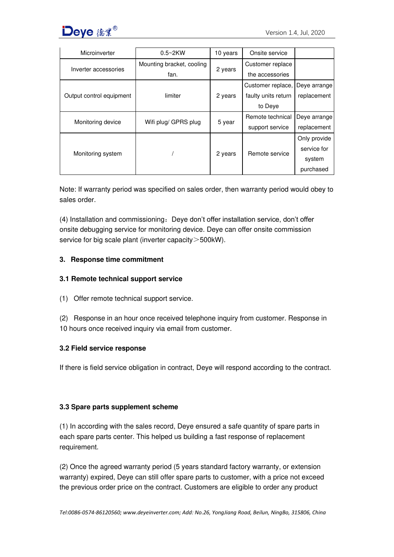

| Microinverter            | $0.5~2$ KW                | 10 years | Onsite service      |              |
|--------------------------|---------------------------|----------|---------------------|--------------|
| Inverter accessories     | Mounting bracket, cooling | 2 years  | Customer replace    |              |
|                          | fan.                      |          | the accessories     |              |
| Output control equipment | limiter                   | 2 years  | Customer replace,   | Deye arrange |
|                          |                           |          | faulty units return | replacement  |
|                          |                           |          | to Deye             |              |
| Monitoring device        | Wifi plug/ GPRS plug      | 5 year   | Remote technical    | Deye arrange |
|                          |                           |          | support service     | replacement  |
| Monitoring system        |                           | 2 years  | Remote service      | Only provide |
|                          |                           |          |                     | service for  |
|                          |                           |          |                     | system       |
|                          |                           |          |                     | purchased    |

Note: If warranty period was specified on sales order, then warranty period would obey to sales order.

(4) Installation and commissioning: Deye don't offer installation service, don't offer onsite debugging service for monitoring device. Deye can offer onsite commission service for big scale plant (inverter capacity > 500kW).

## **3. Response time commitment**

## **3.1 Remote technical support service**

- (1) Offer remote technical support service.
- (2) Response in an hour once received telephone inquiry from customer. Response in 10 hours once received inquiry via email from customer.

#### **3.2 Field service response**

If there is field service obligation in contract, Deye will respond according to the contract.

#### **3.3 Spare parts supplement scheme**

(1) In according with the sales record, Deye ensured a safe quantity of spare parts in each spare parts center. This helped us building a fast response of replacement requirement.

(2) Once the agreed warranty period (5 years standard factory warranty, or extension warranty) expired, Deye can still offer spare parts to customer, with a price not exceed the previous order price on the contract. Customers are eligible to order any product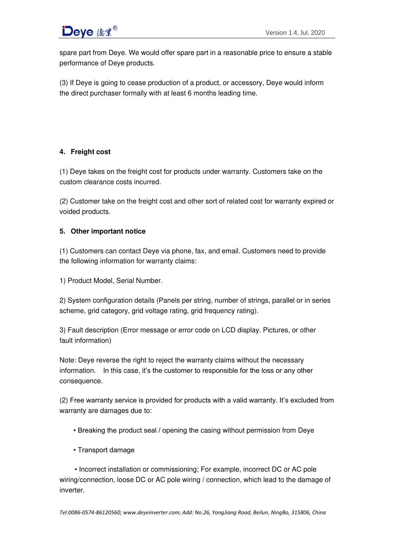

spare part from Deye. We would offer spare part in a reasonable price to ensure a stable performance of Deye products.

(3) If Deye is going to cease production of a product, or accessory, Deye would inform the direct purchaser formally with at least 6 months leading time.

## **4. Freight cost**

(1) Deye takes on the freight cost for products under warranty. Customers take on the custom clearance costs incurred.

(2) Customer take on the freight cost and other sort of related cost for warranty expired or voided products.

### **5. Other important notice**

(1) Customers can contact Deye via phone, fax, and email. Customers need to provide the following information for warranty claims:

1) Product Model, Serial Number.

2) System configuration details (Panels per string, number of strings, parallel or in series scheme, grid category, grid voltage rating, grid frequency rating).

3) Fault description (Error message or error code on LCD display. Pictures, or other fault information)

Note: Deye reverse the right to reject the warranty claims without the necessary information. In this case, it's the customer to responsible for the loss or any other consequence.

(2) Free warranty service is provided for products with a valid warranty. It's excluded from warranty are damages due to:

- Breaking the product seal / opening the casing without permission from Deye
- Transport damage

 • Incorrect installation or commissioning; For example, incorrect DC or AC pole wiring/connection, loose DC or AC pole wiring / connection, which lead to the damage of inverter.